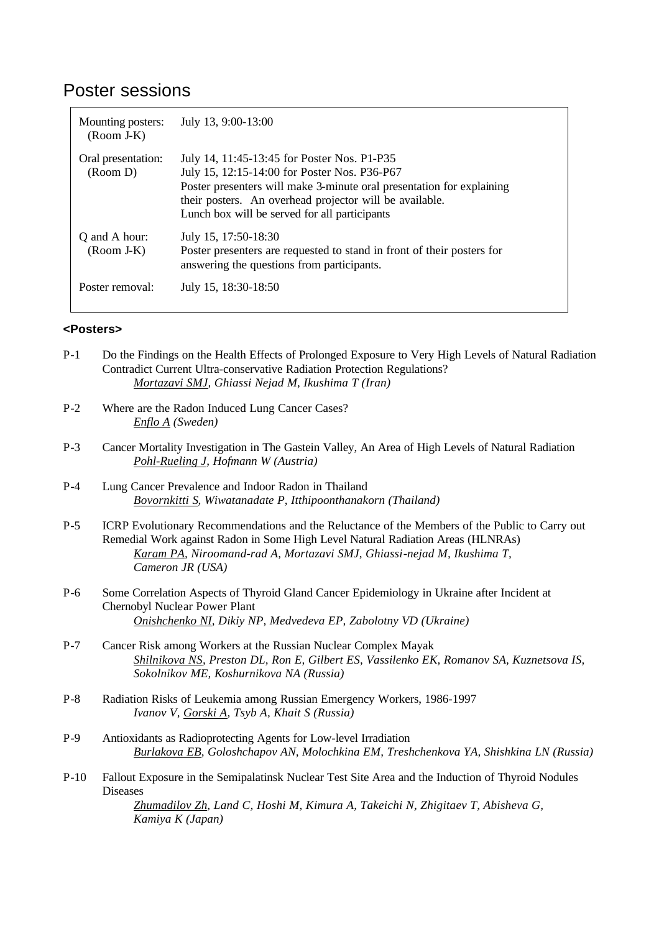## Poster sessions

| Mounting posters:<br>$(Room J-K)$ | July 13, 9:00-13:00                                                                                                                                                                                                                                                              |
|-----------------------------------|----------------------------------------------------------------------------------------------------------------------------------------------------------------------------------------------------------------------------------------------------------------------------------|
| Oral presentation:<br>(Room D)    | July 14, 11:45-13:45 for Poster Nos. P1-P35<br>July 15, 12:15-14:00 for Poster Nos. P36-P67<br>Poster presenters will make 3-minute oral presentation for explaining<br>their posters. An overhead projector will be available.<br>Lunch box will be served for all participants |
| Q and A hour:<br>$(Room J-K)$     | July 15, 17:50-18:30<br>Poster presenters are requested to stand in front of their posters for<br>answering the questions from participants.                                                                                                                                     |
| Poster removal:                   | July 15, 18:30-18:50                                                                                                                                                                                                                                                             |

## **<Posters>**

- P-1 Do the Findings on the Health Effects of Prolonged Exposure to Very High Levels of Natural Radiation Contradict Current Ultra-conservative Radiation Protection Regulations? *Mortazavi SMJ, Ghiassi Nejad M, Ikushima T (Iran)*
- P-2 Where are the Radon Induced Lung Cancer Cases? *Enflo A (Sweden)*
- P-3 Cancer Mortality Investigation in The Gastein Valley, An Area of High Levels of Natural Radiation *Pohl-Rueling J, Hofmann W (Austria)*
- P-4 Lung Cancer Prevalence and Indoor Radon in Thailand *Bovornkitti S, Wiwatanadate P, Itthipoonthanakorn (Thailand)*
- P-5 ICRP Evolutionary Recommendations and the Reluctance of the Members of the Public to Carry out Remedial Work against Radon in Some High Level Natural Radiation Areas (HLNRAs) *Karam PA, Niroomand-rad A, Mortazavi SMJ, Ghiassi-nejad M, Ikushima T, Cameron JR (USA)*
- P-6 Some Correlation Aspects of Thyroid Gland Cancer Epidemiology in Ukraine after Incident at Chernobyl Nuclear Power Plant *Onishchenko NI, Dikiy NP, Medvedeva EP, Zabolotny VD (Ukraine)*
- P-7 Cancer Risk among Workers at the Russian Nuclear Complex Mayak *Shilnikova NS, Preston DL, Ron E, Gilbert ES, Vassilenko EK, Romanov SA, Kuznetsova IS, Sokolnikov ME, Koshurnikova NA (Russia)*
- P-8 Radiation Risks of Leukemia among Russian Emergency Workers, 1986-1997 *Ivanov V, Gorski A, Tsyb A, Khait S (Russia)*
- P-9 Antioxidants as Radioprotecting Agents for Low-level Irradiation *Burlakova EB, Goloshchapov AN, Molochkina EM, Treshchenkova YA, Shishkina LN (Russia)*
- P-10 Fallout Exposure in the Semipalatinsk Nuclear Test Site Area and the Induction of Thyroid Nodules Diseases

*Zhumadilov Zh, Land C, Hoshi M, Kimura A, Takeichi N, Zhigitaev T, Abisheva G, Kamiya K (Japan)*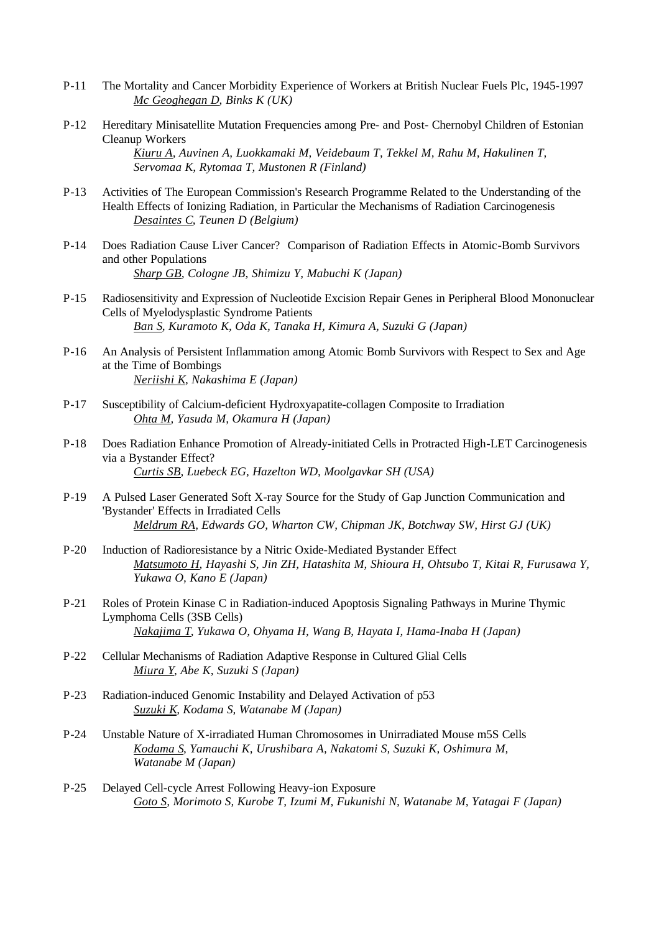- P-11 The Mortality and Cancer Morbidity Experience of Workers at British Nuclear Fuels Plc, 1945-1997 *Mc Geoghegan D, Binks K (UK)*
- P-12 Hereditary Minisatellite Mutation Frequencies among Pre- and Post- Chernobyl Children of Estonian Cleanup Workers

*Kiuru A, Auvinen A, Luokkamaki M, Veidebaum T, Tekkel M, Rahu M, Hakulinen T, Servomaa K, Rytomaa T, Mustonen R (Finland)*

- P-13 Activities of The European Commission's Research Programme Related to the Understanding of the Health Effects of Ionizing Radiation, in Particular the Mechanisms of Radiation Carcinogenesis *Desaintes C, Teunen D (Belgium)*
- P-14 Does Radiation Cause Liver Cancer? Comparison of Radiation Effects in Atomic-Bomb Survivors and other Populations *Sharp GB, Cologne JB, Shimizu Y, Mabuchi K (Japan)*
- P-15 Radiosensitivity and Expression of Nucleotide Excision Repair Genes in Peripheral Blood Mononuclear Cells of Myelodysplastic Syndrome Patients *Ban S, Kuramoto K, Oda K, Tanaka H, Kimura A, Suzuki G (Japan)*
- P-16 An Analysis of Persistent Inflammation among Atomic Bomb Survivors with Respect to Sex and Age at the Time of Bombings *Neriishi K, Nakashima E (Japan)*
- P-17 Susceptibility of Calcium-deficient Hydroxyapatite-collagen Composite to Irradiation *Ohta M, Yasuda M, Okamura H (Japan)*
- P-18 Does Radiation Enhance Promotion of Already-initiated Cells in Protracted High-LET Carcinogenesis via a Bystander Effect? *Curtis SB, Luebeck EG, Hazelton WD, Moolgavkar SH (USA)*
- P-19 A Pulsed Laser Generated Soft X-ray Source for the Study of Gap Junction Communication and 'Bystander' Effects in Irradiated Cells *Meldrum RA, Edwards GO, Wharton CW, Chipman JK, Botchway SW, Hirst GJ (UK)*
- P-20 Induction of Radioresistance by a Nitric Oxide-Mediated Bystander Effect *Matsumoto H, Hayashi S, Jin ZH, Hatashita M, Shioura H, Ohtsubo T, Kitai R, Furusawa Y, Yukawa O, Kano E (Japan)*
- P-21 Roles of Protein Kinase C in Radiation-induced Apoptosis Signaling Pathways in Murine Thymic Lymphoma Cells (3SB Cells) *Nakajima T, Yukawa O, Ohyama H, Wang B, Hayata I, Hama-Inaba H (Japan)*
- P-22 Cellular Mechanisms of Radiation Adaptive Response in Cultured Glial Cells *Miura Y, Abe K, Suzuki S (Japan)*
- P-23 Radiation-induced Genomic Instability and Delayed Activation of p53 *Suzuki K, Kodama S, Watanabe M (Japan)*
- P-24 Unstable Nature of X-irradiated Human Chromosomes in Unirradiated Mouse m5S Cells *Kodama S, Yamauchi K, Urushibara A, Nakatomi S, Suzuki K, Oshimura M, Watanabe M (Japan)*
- P-25 Delayed Cell-cycle Arrest Following Heavy-ion Exposure *Goto S, Morimoto S, Kurobe T, Izumi M, Fukunishi N, Watanabe M, Yatagai F (Japan)*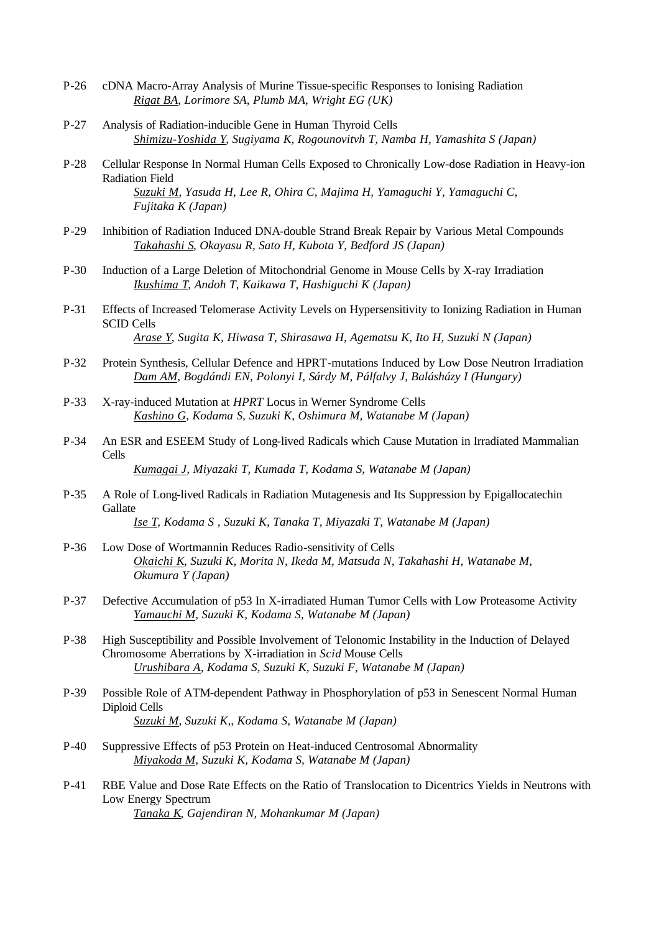- P-26 cDNA Macro-Array Analysis of Murine Tissue-specific Responses to Ionising Radiation *Rigat BA, Lorimore SA, Plumb MA, Wright EG (UK)*
- P-27 Analysis of Radiation-inducible Gene in Human Thyroid Cells *Shimizu-Yoshida Y, Sugiyama K, Rogounovitvh T, Namba H, Yamashita S (Japan)*
- P-28 Cellular Response In Normal Human Cells Exposed to Chronically Low-dose Radiation in Heavy-ion Radiation Field *Suzuki M, Yasuda H, Lee R, Ohira C, Majima H, Yamaguchi Y, Yamaguchi C, Fujitaka K (Japan)*
- P-29 Inhibition of Radiation Induced DNA-double Strand Break Repair by Various Metal Compounds *Takahashi S, Okayasu R, Sato H, Kubota Y, Bedford JS (Japan)*
- P-30 Induction of a Large Deletion of Mitochondrial Genome in Mouse Cells by X-ray Irradiation *Ikushima T, Andoh T, Kaikawa T, Hashiguchi K (Japan)*
- P-31 Effects of Increased Telomerase Activity Levels on Hypersensitivity to Ionizing Radiation in Human SCID Cells *Arase Y, Sugita K, Hiwasa T, Shirasawa H, Agematsu K, Ito H, Suzuki N (Japan)*
- P-32 Protein Synthesis, Cellular Defence and HPRT-mutations Induced by Low Dose Neutron Irradiation *Dam AM, Bogdándi EN, Polonyi I, Sárdy M, Pálfalvy J, Balásházy I (Hungary)*
- P-33 X-ray-induced Mutation at *HPRT* Locus in Werner Syndrome Cells *Kashino G, Kodama S, Suzuki K, Oshimura M, Watanabe M (Japan)*
- P-34 An ESR and ESEEM Study of Long-lived Radicals which Cause Mutation in Irradiated Mammalian Cells *Kumagai J, Miyazaki T, Kumada T, Kodama S, Watanabe M (Japan)*
- P-35 A Role of Long-lived Radicals in Radiation Mutagenesis and Its Suppression by Epigallocatechin **Gallate**

*Ise T, Kodama S , Suzuki K, Tanaka T, Miyazaki T, Watanabe M (Japan)*

- P-36 Low Dose of Wortmannin Reduces Radio-sensitivity of Cells *Okaichi K, Suzuki K, Morita N, Ikeda M, Matsuda N, Takahashi H, Watanabe M, Okumura Y (Japan)*
- P-37 Defective Accumulation of p53 In X-irradiated Human Tumor Cells with Low Proteasome Activity *Yamauchi M, Suzuki K, Kodama S, Watanabe M (Japan)*
- P-38 High Susceptibility and Possible Involvement of Telonomic Instability in the Induction of Delayed Chromosome Aberrations by X-irradiation in *Scid* Mouse Cells *Urushibara A, Kodama S, Suzuki K, Suzuki F, Watanabe M (Japan)*
- P-39 Possible Role of ATM-dependent Pathway in Phosphorylation of p53 in Senescent Normal Human Diploid Cells *Suzuki M, Suzuki K,, Kodama S, Watanabe M (Japan)*
- P-40 Suppressive Effects of p53 Protein on Heat-induced Centrosomal Abnormality *Miyakoda M, Suzuki K, Kodama S, Watanabe M (Japan)*
- P-41 RBE Value and Dose Rate Effects on the Ratio of Translocation to Dicentrics Yields in Neutrons with Low Energy Spectrum *Tanaka K, Gajendiran N, Mohankumar M (Japan)*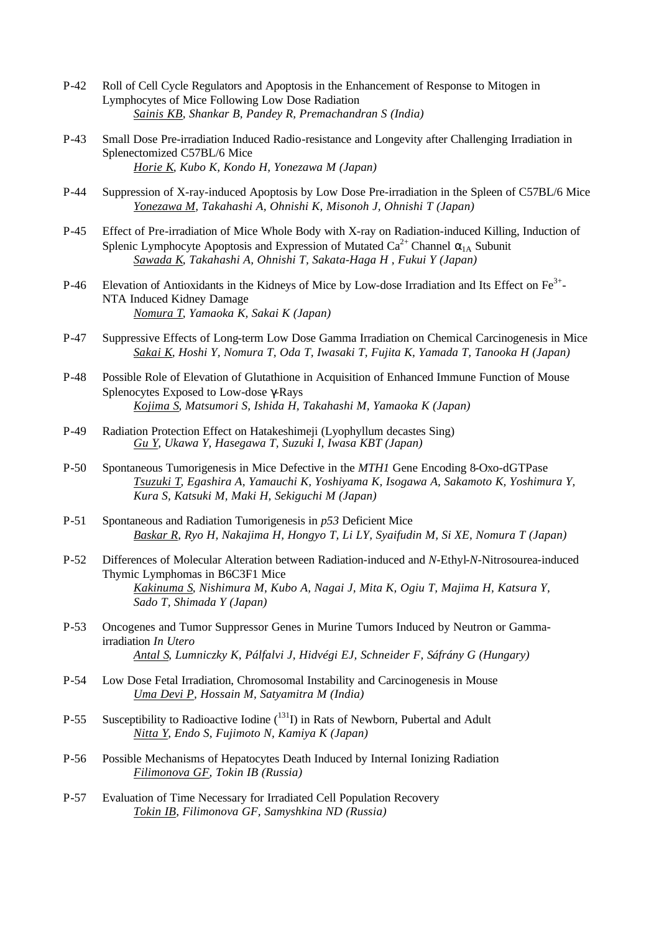- P-42 Roll of Cell Cycle Regulators and Apoptosis in the Enhancement of Response to Mitogen in Lymphocytes of Mice Following Low Dose Radiation *Sainis KB, Shankar B, Pandey R, Premachandran S (India)*
- P-43 Small Dose Pre-irradiation Induced Radio-resistance and Longevity after Challenging Irradiation in Splenectomized C57BL/6 Mice *Horie K, Kubo K, Kondo H, Yonezawa M (Japan)*
- P-44 Suppression of X-ray-induced Apoptosis by Low Dose Pre-irradiation in the Spleen of C57BL/6 Mice *Yonezawa M, Takahashi A, Ohnishi K, Misonoh J, Ohnishi T (Japan)*
- P-45 Effect of Pre-irradiation of Mice Whole Body with X-ray on Radiation-induced Killing, Induction of Splenic Lymphocyte Apoptosis and Expression of Mutated  $Ca^{2+}$  Channel  $\alpha_{1A}$  Subunit *Sawada K, Takahashi A, Ohnishi T, Sakata-Haga H , Fukui Y (Japan)*
- P-46 Elevation of Antioxidants in the Kidneys of Mice by Low-dose Irradiation and Its Effect on  $Fe^{3+}$ -NTA Induced Kidney Damage *Nomura T, Yamaoka K, Sakai K (Japan)*
- P-47 Suppressive Effects of Long-term Low Dose Gamma Irradiation on Chemical Carcinogenesis in Mice *Sakai K, Hoshi Y, Nomura T, Oda T, Iwasaki T, Fujita K, Yamada T, Tanooka H (Japan)*
- P-48 Possible Role of Elevation of Glutathione in Acquisition of Enhanced Immune Function of Mouse Splenocytes Exposed to Low-dose γ-Rays *Kojima S, Matsumori S, Ishida H, Takahashi M, Yamaoka K (Japan)*
- P-49 Radiation Protection Effect on Hatakeshimeji (Lyophyllum decastes Sing) *Gu Y, Ukawa Y, Hasegawa T, Suzuki I, Iwasa KBT (Japan)*
- P-50 Spontaneous Tumorigenesis in Mice Defective in the *MTH1* Gene Encoding 8-Oxo-dGTPase *Tsuzuki T, Egashira A, Yamauchi K, Yoshiyama K, Isogawa A, Sakamoto K, Yoshimura Y, Kura S, Katsuki M, Maki H, Sekiguchi M (Japan)*
- P-51 Spontaneous and Radiation Tumorigenesis in *p53* Deficient Mice *Baskar R, Ryo H, Nakajima H, Hongyo T, Li LY, Syaifudin M, Si XE, Nomura T (Japan)*
- P-52 Differences of Molecular Alteration between Radiation-induced and *N*-Ethyl-*N*-Nitrosourea-induced Thymic Lymphomas in B6C3F1 Mice *Kakinuma S, Nishimura M, Kubo A, Nagai J, Mita K, Ogiu T, Majima H, Katsura Y, Sado T, Shimada Y (Japan)*
- P-53 Oncogenes and Tumor Suppressor Genes in Murine Tumors Induced by Neutron or Gammairradiation *In Utero Antal S, Lumniczky K, Pálfalvi J, Hidvégi EJ, Schneider F, Sáfrány G (Hungary)*
- P-54 Low Dose Fetal Irradiation, Chromosomal Instability and Carcinogenesis in Mouse *Uma Devi P, Hossain M, Satyamitra M (India)*
- P-55 Susceptibility to Radioactive Iodine (<sup>131</sup>I) in Rats of Newborn, Pubertal and Adult *Nitta Y, Endo S, Fujimoto N, Kamiya K (Japan)*
- P-56 Possible Mechanisms of Hepatocytes Death Induced by Internal Ionizing Radiation *Filimonova GF, Tokin IB (Russia)*
- P-57 Evaluation of Time Necessary for Irradiated Cell Population Recovery *Tokin IB, Filimonova GF, Samyshkina ND (Russia)*